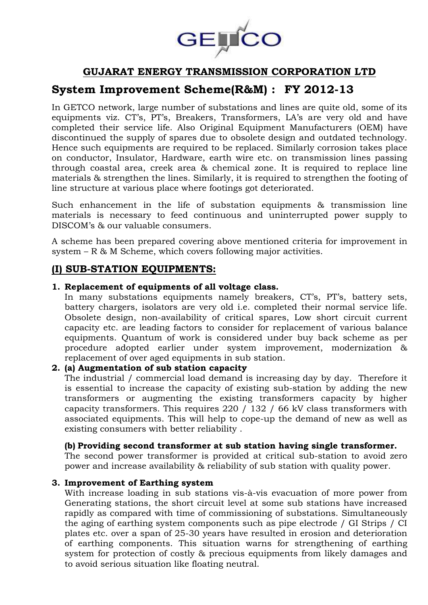

# **GUJARAT ENERGY TRANSMISSION CORPORATION LTD**

# **System Improvement Scheme(R&M) : FY 2012-13**

In GETCO network, large number of substations and lines are quite old, some of its equipments viz. CT's, PT's, Breakers, Transformers, LA's are very old and have completed their service life. Also Original Equipment Manufacturers (OEM) have discontinued the supply of spares due to obsolete design and outdated technology. Hence such equipments are required to be replaced. Similarly corrosion takes place on conductor, Insulator, Hardware, earth wire etc. on transmission lines passing through coastal area, creek area & chemical zone. It is required to replace line materials & strengthen the lines. Similarly, it is required to strengthen the footing of line structure at various place where footings got deteriorated.

Such enhancement in the life of substation equipments & transmission line materials is necessary to feed continuous and uninterrupted power supply to DISCOM's & our valuable consumers.

A scheme has been prepared covering above mentioned criteria for improvement in system – R & M Scheme, which covers following major activities.

### **(I) SUB-STATION EQUIPMENTS:**

#### **1. Replacement of equipments of all voltage class.**

In many substations equipments namely breakers, CT's, PT's, battery sets, battery chargers, isolators are very old i.e. completed their normal service life. Obsolete design, non-availability of critical spares, Low short circuit current capacity etc. are leading factors to consider for replacement of various balance equipments. Quantum of work is considered under buy back scheme as per procedure adopted earlier under system improvement, modernization & replacement of over aged equipments in sub station.

#### **2. (a) Augmentation of sub station capacity**

The industrial / commercial load demand is increasing day by day. Therefore it is essential to increase the capacity of existing sub-station by adding the new transformers or augmenting the existing transformers capacity by higher capacity transformers. This requires 220 / 132 / 66 kV class transformers with associated equipments. This will help to cope-up the demand of new as well as existing consumers with better reliability .

#### **(b) Providing second transformer at sub station having single transformer.**

The second power transformer is provided at critical sub-station to avoid zero power and increase availability & reliability of sub station with quality power.

#### **3. Improvement of Earthing system**

With increase loading in sub stations vis-à-vis evacuation of more power from Generating stations, the short circuit level at some sub stations have increased rapidly as compared with time of commissioning of substations. Simultaneously the aging of earthing system components such as pipe electrode / GI Strips / CI plates etc. over a span of 25-30 years have resulted in erosion and deterioration of earthing components. This situation warns for strengthening of earthing system for protection of costly & precious equipments from likely damages and to avoid serious situation like floating neutral.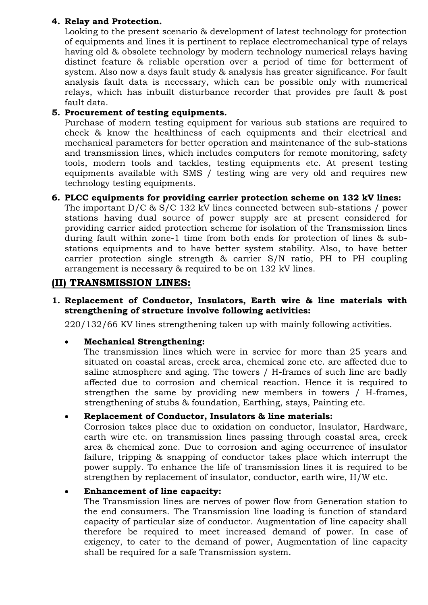#### **4. Relay and Protection.**

Looking to the present scenario & development of latest technology for protection of equipments and lines it is pertinent to replace electromechanical type of relays having old & obsolete technology by modern technology numerical relays having distinct feature & reliable operation over a period of time for betterment of system. Also now a days fault study & analysis has greater significance. For fault analysis fault data is necessary, which can be possible only with numerical relays, which has inbuilt disturbance recorder that provides pre fault & post fault data.

#### **5. Procurement of testing equipments.**

Purchase of modern testing equipment for various sub stations are required to check & know the healthiness of each equipments and their electrical and mechanical parameters for better operation and maintenance of the sub-stations and transmission lines, which includes computers for remote monitoring, safety tools, modern tools and tackles, testing equipments etc. At present testing equipments available with SMS / testing wing are very old and requires new technology testing equipments.

#### **6. PLCC equipments for providing carrier protection scheme on 132 kV lines:**

The important D/C & S/C 132 kV lines connected between sub-stations / power stations having dual source of power supply are at present considered for providing carrier aided protection scheme for isolation of the Transmission lines during fault within zone-1 time from both ends for protection of lines & substations equipments and to have better system stability. Also, to have better carrier protection single strength & carrier S/N ratio, PH to PH coupling arrangement is necessary & required to be on 132 kV lines.

### **(II) TRANSMISSION LINES:**

#### **1. Replacement of Conductor, Insulators, Earth wire & line materials with strengthening of structure involve following activities:**

220/132/66 KV lines strengthening taken up with mainly following activities.

#### **Mechanical Strengthening:**

The transmission lines which were in service for more than 25 years and situated on coastal areas, creek area, chemical zone etc. are affected due to saline atmosphere and aging. The towers / H-frames of such line are badly affected due to corrosion and chemical reaction. Hence it is required to strengthen the same by providing new members in towers / H-frames, strengthening of stubs & foundation, Earthing, stays, Painting etc.

#### **Replacement of Conductor, Insulators & line materials:**

Corrosion takes place due to oxidation on conductor, Insulator, Hardware, earth wire etc. on transmission lines passing through coastal area, creek area & chemical zone. Due to corrosion and aging occurrence of insulator failure, tripping & snapping of conductor takes place which interrupt the power supply. To enhance the life of transmission lines it is required to be strengthen by replacement of insulator, conductor, earth wire, H/W etc.

#### **Enhancement of line capacity:**

The Transmission lines are nerves of power flow from Generation station to the end consumers. The Transmission line loading is function of standard capacity of particular size of conductor. Augmentation of line capacity shall therefore be required to meet increased demand of power. In case of exigency, to cater to the demand of power, Augmentation of line capacity shall be required for a safe Transmission system.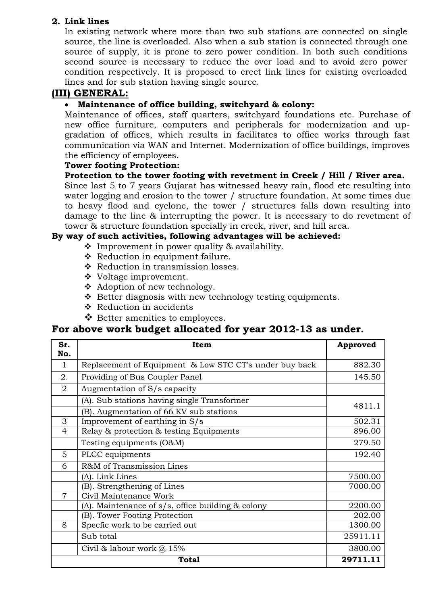#### **2. Link lines**

In existing network where more than two sub stations are connected on single source, the line is overloaded. Also when a sub station is connected through one source of supply, it is prone to zero power condition. In both such conditions second source is necessary to reduce the over load and to avoid zero power condition respectively. It is proposed to erect link lines for existing overloaded lines and for sub station having single source.

### **(III) GENERAL:**

#### **Maintenance of office building, switchyard & colony:**

Maintenance of offices, staff quarters, switchyard foundations etc. Purchase of new office furniture, computers and peripherals for modernization and upgradation of offices, which results in facilitates to office works through fast communication via WAN and Internet. Modernization of office buildings, improves the efficiency of employees.

#### **Tower footing Protection:**

#### **Protection to the tower footing with revetment in Creek / Hill / River area.**

Since last 5 to 7 years Gujarat has witnessed heavy rain, flood etc resulting into water logging and erosion to the tower / structure foundation. At some times due to heavy flood and cyclone, the tower / structures falls down resulting into damage to the line & interrupting the power. It is necessary to do revetment of tower & structure foundation specially in creek, river, and hill area.

#### **By way of such activities, following advantages will be achieved:**

- $\cdot$  Improvement in power quality & availability.
- \* Reduction in equipment failure.
- ❖ Reduction in transmission losses.
- Voltage improvement.
- ❖ Adoption of new technology.
- $\triangle$  Better diagnosis with new technology testing equipments.
- ❖ Reduction in accidents
- ❖ Better amenities to employees.

## **For above work budget allocated for year 2012-13 as under.**

| Sr.<br>No.     | Item                                                    | Approved |
|----------------|---------------------------------------------------------|----------|
| $\mathbf{1}$   | Replacement of Equipment & Low STC CT's under buy back  | 882.30   |
| 2.             | Providing of Bus Coupler Panel                          | 145.50   |
| $\overline{2}$ | Augmentation of S/s capacity                            |          |
|                | (A). Sub stations having single Transformer             | 4811.1   |
|                | (B). Augmentation of 66 KV sub stations                 |          |
| 3              | Improvement of earthing in S/s                          | 502.31   |
| $\overline{4}$ | Relay & protection & testing Equipments                 | 896.00   |
|                | Testing equipments (O&M)                                | 279.50   |
| 5              | PLCC equipments                                         | 192.40   |
| 6              | R&M of Transmission Lines                               |          |
|                | (A). Link Lines                                         | 7500.00  |
|                | (B). Strengthening of Lines                             | 7000.00  |
| $\overline{7}$ | Civil Maintenance Work                                  |          |
|                | (A). Maintenance of $s/s$ , office building $\&$ colony | 2200.00  |
|                | (B). Tower Footing Protection                           | 202.00   |
| 8              | Specfic work to be carried out                          | 1300.00  |
|                | Sub total                                               | 25911.11 |
|                | Civil & labour work $@$ 15%                             | 3800.00  |
|                | 29711.11                                                |          |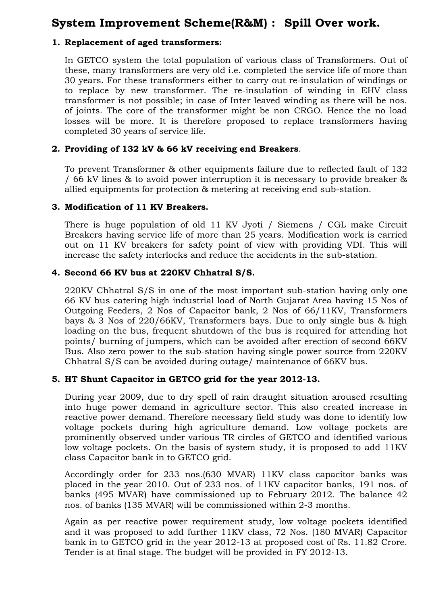# **System Improvement Scheme(R&M) : Spill Over work.**

#### **1. Replacement of aged transformers:**

In GETCO system the total population of various class of Transformers. Out of these, many transformers are very old i.e. completed the service life of more than 30 years. For these transformers either to carry out re-insulation of windings or to replace by new transformer. The re-insulation of winding in EHV class transformer is not possible; in case of Inter leaved winding as there will be nos. of joints. The core of the transformer might be non CRGO. Hence the no load losses will be more. It is therefore proposed to replace transformers having completed 30 years of service life.

#### **2. Providing of 132 kV & 66 kV receiving end Breakers**.

To prevent Transformer & other equipments failure due to reflected fault of 132 / 66 kV lines & to avoid power interruption it is necessary to provide breaker & allied equipments for protection & metering at receiving end sub-station.

#### **3. Modification of 11 KV Breakers.**

There is huge population of old 11 KV Jyoti / Siemens / CGL make Circuit Breakers having service life of more than 25 years. Modification work is carried out on 11 KV breakers for safety point of view with providing VDI. This will increase the safety interlocks and reduce the accidents in the sub-station.

#### **4. Second 66 KV bus at 220KV Chhatral S/S.**

220KV Chhatral S/S in one of the most important sub-station having only one 66 KV bus catering high industrial load of North Gujarat Area having 15 Nos of Outgoing Feeders, 2 Nos of Capacitor bank, 2 Nos of 66/11KV, Transformers bays & 3 Nos of 220/66KV, Transformers bays. Due to only single bus & high loading on the bus, frequent shutdown of the bus is required for attending hot points/ burning of jumpers, which can be avoided after erection of second 66KV Bus. Also zero power to the sub-station having single power source from 220KV Chhatral S/S can be avoided during outage/ maintenance of 66KV bus.

#### **5. HT Shunt Capacitor in GETCO grid for the year 2012-13.**

During year 2009, due to dry spell of rain draught situation aroused resulting into huge power demand in agriculture sector. This also created increase in reactive power demand. Therefore necessary field study was done to identify low voltage pockets during high agriculture demand. Low voltage pockets are prominently observed under various TR circles of GETCO and identified various low voltage pockets. On the basis of system study, it is proposed to add 11KV class Capacitor bank in to GETCO grid.

Accordingly order for 233 nos.(630 MVAR) 11KV class capacitor banks was placed in the year 2010. Out of 233 nos. of 11KV capacitor banks, 191 nos. of banks (495 MVAR) have commissioned up to February 2012. The balance 42 nos. of banks (135 MVAR) will be commissioned within 2-3 months.

Again as per reactive power requirement study, low voltage pockets identified and it was proposed to add further 11KV class, 72 Nos. (180 MVAR) Capacitor bank in to GETCO grid in the year 2012-13 at proposed cost of Rs. 11.82 Crore. Tender is at final stage. The budget will be provided in FY 2012-13.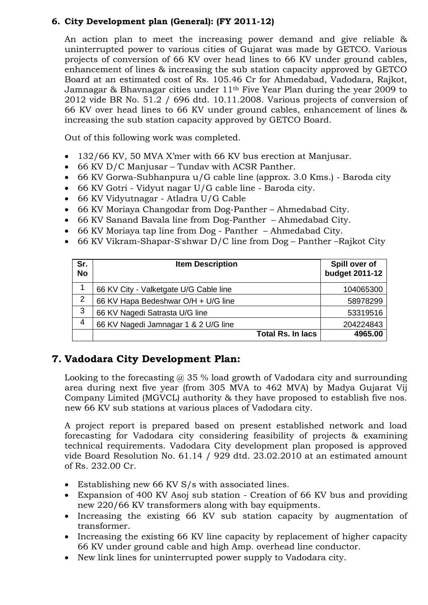### **6. City Development plan (General): (FY 2011-12)**

An action plan to meet the increasing power demand and give reliable & uninterrupted power to various cities of Gujarat was made by GETCO. Various projects of conversion of 66 KV over head lines to 66 KV under ground cables, enhancement of lines & increasing the sub station capacity approved by GETCO Board at an estimated cost of Rs. 105.46 Cr for Ahmedabad, Vadodara, Rajkot, Jamnagar & Bhavnagar cities under 11th Five Year Plan during the year 2009 to 2012 vide BR No. 51.2 / 696 dtd. 10.11.2008. Various projects of conversion of 66 KV over head lines to 66 KV under ground cables, enhancement of lines & increasing the sub station capacity approved by GETCO Board.

Out of this following work was completed.

- 132/66 KV, 50 MVA X'mer with 66 KV bus erection at Manjusar.
- 66 KV D/C Manjusar Tundav with ACSR Panther.
- 66 KV Gorwa-Subhanpura u/G cable line (approx. 3.0 Kms.) Baroda city
- 66 KV Gotri Vidyut nagar U/G cable line Baroda city.
- 66 KV Vidyutnagar Atladra U/G Cable
- 66 KV Moriaya Changodar from Dog-Panther Ahmedabad City.
- 66 KV Sanand Bavala line from Dog-Panther Ahmedabad City.
- 66 KV Moriaya tap line from Dog Panther Ahmedabad City.
- 66 KV Vikram-Shapar-S'shwar D/C line from Dog Panther –Rajkot City

| Sr.<br><b>No</b> | <b>Item Description</b>                | Spill over of<br>budget 2011-12 |
|------------------|----------------------------------------|---------------------------------|
|                  | 66 KV City - Valketgate U/G Cable line | 104065300                       |
| $\overline{2}$   | 66 KV Hapa Bedeshwar O/H + U/G line    | 58978299                        |
| 3                | 66 KV Nagedi Satrasta U/G line         | 53319516                        |
| 4                | 66 KV Nagedi Jamnagar 1 & 2 U/G line   | 204224843                       |
|                  | <b>Total Rs. In lacs</b>               | 4965.00                         |

## **7. Vadodara City Development Plan:**

Looking to the forecasting  $\omega$  35 % load growth of Vadodara city and surrounding area during next five year (from 305 MVA to 462 MVA) by Madya Gujarat Vij Company Limited (MGVCL) authority & they have proposed to establish five nos. new 66 KV sub stations at various places of Vadodara city.

A project report is prepared based on present established network and load forecasting for Vadodara city considering feasibility of projects & examining technical requirements. Vadodara City development plan proposed is approved vide Board Resolution No. 61.14 / 929 dtd. 23.02.2010 at an estimated amount of Rs. 232.00 Cr.

- Establishing new 66 KV S/s with associated lines.
- Expansion of 400 KV Asoj sub station Creation of 66 KV bus and providing new 220/66 KV transformers along with bay equipments.
- Increasing the existing 66 KV sub station capacity by augmentation of transformer.
- Increasing the existing 66 KV line capacity by replacement of higher capacity 66 KV under ground cable and high Amp. overhead line conductor.
- New link lines for uninterrupted power supply to Vadodara city.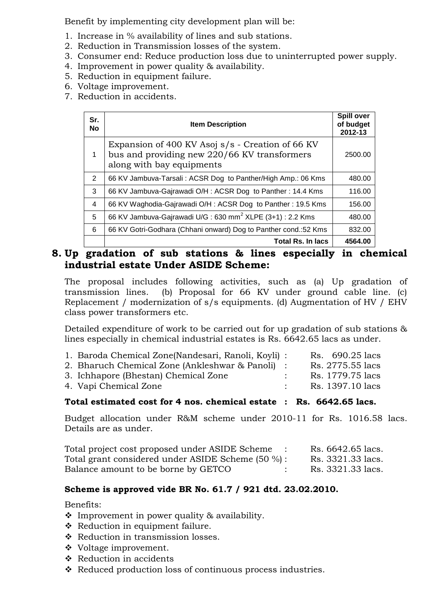Benefit by implementing city development plan will be:

- 1. Increase in % availability of lines and sub stations.
- 2. Reduction in Transmission losses of the system.
- 3. Consumer end: Reduce production loss due to uninterrupted power supply.
- 4. Improvement in power quality & availability.
- 5. Reduction in equipment failure.
- 6. Voltage improvement.
- 7. Reduction in accidents.

| Sr.<br><b>No</b> | <b>Item Description</b>                                                                                                       | <b>Spill over</b><br>of budget<br>2012-13 |
|------------------|-------------------------------------------------------------------------------------------------------------------------------|-------------------------------------------|
| 1                | Expansion of 400 KV Asoj s/s - Creation of 66 KV<br>bus and providing new 220/66 KV transformers<br>along with bay equipments | 2500.00                                   |
| $\overline{2}$   | 66 KV Jambuva-Tarsali: ACSR Dog to Panther/High Amp.: 06 Kms                                                                  | 480.00                                    |
| 3                | 66 KV Jambuva-Gajrawadi O/H: ACSR Dog to Panther: 14.4 Kms                                                                    | 116.00                                    |
| 4                | 66 KV Waghodia-Gajrawadi O/H: ACSR Dog to Panther: 19.5 Kms                                                                   | 156.00                                    |
| 5                | 66 KV Jambuva-Gajrawadi U/G: 630 mm <sup>2</sup> XLPE (3+1): 2.2 Kms                                                          | 480.00                                    |
| 6                | 66 KV Gotri-Godhara (Chhani onward) Dog to Panther cond.:52 Kms                                                               | 832.00                                    |
|                  | <b>Total Rs. In lacs</b>                                                                                                      | 4564.00                                   |

# **8. Up gradation of sub stations & lines especially in chemical industrial estate Under ASIDE Scheme:**

The proposal includes following activities, such as (a) Up gradation of transmission lines. (b) Proposal for 66 KV under ground cable line. (c) Replacement / modernization of s/s equipments. (d) Augmentation of HV / EHV class power transformers etc.

Detailed expenditure of work to be carried out for up gradation of sub stations & lines especially in chemical industrial estates is Rs. 6642.65 lacs as under.

| 1. Baroda Chemical Zone(Nandesari, Ranoli, Koyli) : | Rs. 690.25 lacs  |
|-----------------------------------------------------|------------------|
| 2. Bharuch Chemical Zone (Ankleshwar & Panoli) :    | Rs. 2775.55 lacs |
| 3. Ichhapore (Bhestan) Chemical Zone                | Rs. 1779.75 lacs |
| 4. Vapi Chemical Zone                               | Rs. 1397.10 lacs |
|                                                     |                  |

#### **Total estimated cost for 4 nos. chemical estate : Rs. 6642.65 lacs.**

Budget allocation under R&M scheme under 2010-11 for Rs. 1016.58 lacs. Details are as under.

| Total project cost proposed under ASIDE Scheme    | Rs. 6642.65 lacs. |
|---------------------------------------------------|-------------------|
| Total grant considered under ASIDE Scheme (50 %): | Rs. 3321.33 lacs. |
| Balance amount to be borne by GETCO               | Rs. 3321.33 lacs. |

#### **Scheme is approved vide BR No. 61.7 / 921 dtd. 23.02.2010.**

Benefits:

- Improvement in power quality & availability.
- \* Reduction in equipment failure.
- ❖ Reduction in transmission losses.
- Voltage improvement.
- ❖ Reduction in accidents
- ◆ Reduced production loss of continuous process industries.